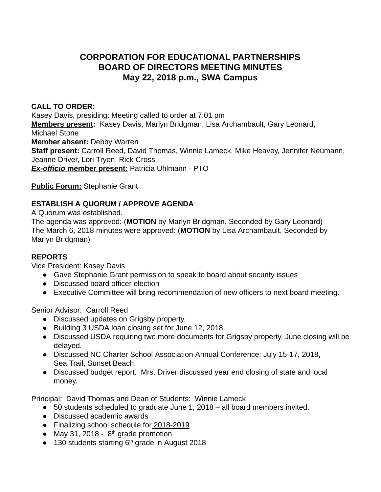# **CORPORATION FOR EDUCATIONAL PARTNERSHIPS BOARD OF DIRECTORS MEETING MINUTES May 22, 2018 p.m., SWA Campus**

### **CALL TO ORDER:**

Kasey Davis, presiding: Meeting called to order at 7:01 pm **Members present: Kasey Davis, Marlyn Bridgman, Lisa Archambault, Gary Leonard,** Michael Stone **Member absent:** Debby Warren **Staff present:** Carroll Reed, David Thomas, Winnie Lameck, Mike Heavey, Jennifer Neumann, Jeanne Driver, Lori Tryon, Rick Cross *Ex-officio* **member present:** Patricia Uhlmann - PTO

## **Public Forum:** Stephanie Grant

## **ESTABLISH A QUORUM / APPROVE AGENDA**

A Quorum was established.

The agenda was approved: ( **MOTION** by Marlyn Bridgman, Seconded by Gary Leonard) The March 6, 2018 minutes were approved: ( **MOTION** by Lisa Archambault, Seconded by Marlyn Bridgman)

#### **REPORTS**

Vice President: Kasey Davis

- Gave Stephanie Grant permission to speak to board about security issues
- Discussed board officer election
- Executive Committee will bring recommendation of new officers to next board meeting.

Senior Advisor: Carroll Reed

- Discussed updates on Grigsby property.
- Building 3 USDA loan closing set for June 12, 2018.
- Discussed USDA requiring two more documents for Grigsby property. June closing will be delayed.
- Discussed NC Charter School Association Annual Conference: July 15-17, 2018, Sea Trail, Sunset Beach.
- Discussed budget report. Mrs. Driver discussed year end closing of state and local money.

Principal: David Thomas and Dean of Students: Winnie Lameck

- 50 students scheduled to graduate June 1, 2018 all board members invited.
- Discussed academic awards
- Finalizing school schedule for 2018-2019
- $\bullet$  May 31, 2018  $8<sup>th</sup>$  grade promotion
- $\bullet$  130 students starting 6<sup>th</sup> grade in August 2018